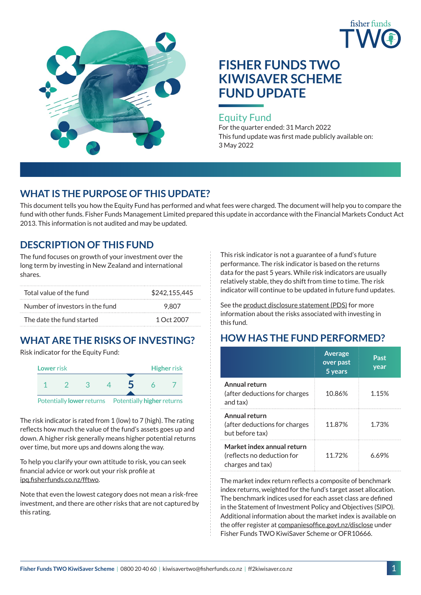



# **FISHER FUNDS TWO KIWISAVER SCHEME FUND UPDATE**

## Equity Fund

For the quarter ended: 31 March 2022 This fund update was first made publicly available on: 3 May 2022

## **WHAT IS THE PURPOSE OF THIS UPDATE?**

This document tells you how the Equity Fund has performed and what fees were charged. The document will help you to compare the fund with other funds. Fisher Funds Management Limited prepared this update in accordance with the Financial Markets Conduct Act 2013. This information is not audited and may be updated.

## **DESCRIPTION OF THIS FUND**

The fund focuses on growth of your investment over the long term by investing in New Zealand and international shares.

| Total value of the fund         | \$242,155,445 |
|---------------------------------|---------------|
| Number of investors in the fund | 9.807         |
| The date the fund started       | 1 Oct 2007    |

## **WHAT ARE THE RISKS OF INVESTING?**

Risk indicator for the Equity Fund:



The risk indicator is rated from 1 (low) to 7 (high). The rating reflects how much the value of the fund's assets goes up and down. A higher risk generally means higher potential returns over time, but more ups and downs along the way.

To help you clarify your own attitude to risk, you can seek financial advice or work out your risk profile at [ipq.fisherfunds.co.nz/fftwo](https://ipq.fisherfunds.co.nz/fftwo).

Note that even the lowest category does not mean a risk-free investment, and there are other risks that are not captured by this rating.

This risk indicator is not a guarantee of a fund's future performance. The risk indicator is based on the returns data for the past 5 years. While risk indicators are usually relatively stable, they do shift from time to time. The risk indicator will continue to be updated in future fund updates.

See the [product disclosure statement \(PDS\)](http://ff2kiwisaver.co.nz/assets/Documents/Fisher-Funds-TWO-KiwiSaver-Scheme-PDS.pdf) for more information about the risks associated with investing in this fund.

## **HOW HAS THE FUND PERFORMED?**

|                                                                              | <b>Average</b><br>over past<br>5 years | Past<br>year |
|------------------------------------------------------------------------------|----------------------------------------|--------------|
| Annual return<br>(after deductions for charges<br>and tax)                   | 10.86%                                 | 1.15%        |
| Annual return<br>(after deductions for charges<br>but before tax)            | 11.87%                                 | 1.73%        |
| Market index annual return<br>(reflects no deduction for<br>charges and tax) | 1172%                                  | 6 69%        |

The market index return reflects a composite of benchmark index returns, weighted for the fund's target asset allocation. The benchmark indices used for each asset class are defined in the Statement of Investment Policy and Objectives (SIPO). Additional information about the market index is available on the offer register at [companiesoffice.govt.nz/disclose](http://companiesoffice.govt.nz/disclose) under Fisher Funds TWO KiwiSaver Scheme or OFR10666.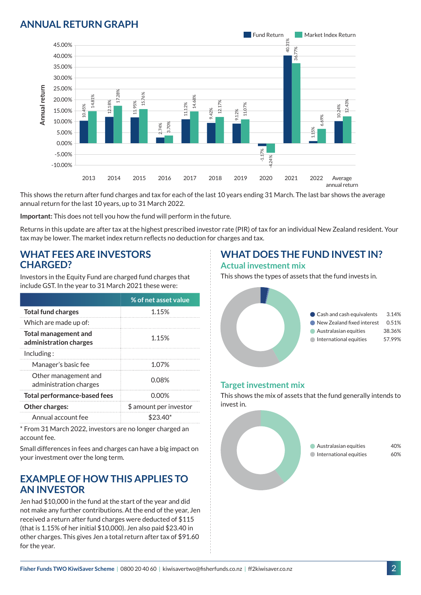## **ANNUAL RETURN GRAPH**



This shows the return after fund charges and tax for each of the last 10 years ending 31 March. The last bar shows the average annual return for the last 10 years, up to 31 March 2022.

**Important:** This does not tell you how the fund will perform in the future.

Returns in this update are after tax at the highest prescribed investor rate (PIR) of tax for an individual New Zealand resident. Your tax may be lower. The market index return reflects no deduction for charges and tax.

#### **WHAT FEES ARE INVESTORS CHARGED?**

Investors in the Equity Fund are charged fund charges that include GST. In the year to 31 March 2021 these were:

|                                                       | % of net asset value   |
|-------------------------------------------------------|------------------------|
| <b>Total fund charges</b>                             | 1.15%                  |
| Which are made up of:                                 |                        |
| <b>Total management and</b><br>administration charges | 1.15%                  |
| Inding:                                               |                        |
| Manager's basic fee                                   | 1.07%                  |
| Other management and<br>administration charges        | 0.08%                  |
| <b>Total performance-based fees</b>                   | 0.00%                  |
| <b>Other charges:</b>                                 | \$ amount per investor |
| Annual account fee                                    | $$23.40^*$             |

\* From 31 March 2022, investors are no longer charged an account fee.

Small differences in fees and charges can have a big impact on your investment over the long term.

#### **EXAMPLE OF HOW THIS APPLIES TO AN INVESTOR**

Jen had \$10,000 in the fund at the start of the year and did not make any further contributions. At the end of the year, Jen received a return after fund charges were deducted of \$115 (that is 1.15% of her initial \$10,000). Jen also paid \$23.40 in other charges. This gives Jen a total return after tax of \$91.60 for the year.

#### **WHAT DOES THE FUND INVEST IN? Actual investment mix**

This shows the types of assets that the fund invests in.



#### **Target investment mix**

This shows the mix of assets that the fund generally intends to invest in.